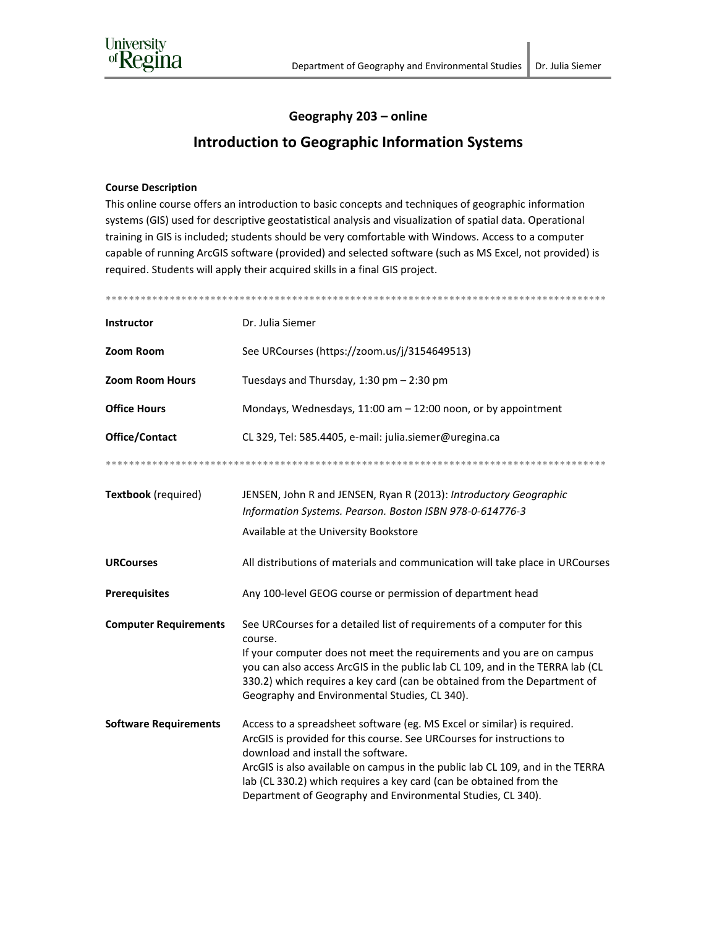

## Geography 203 - online

## **Introduction to Geographic Information Systems**

## **Course Description**

This online course offers an introduction to basic concepts and techniques of geographic information systems (GIS) used for descriptive geostatistical analysis and visualization of spatial data. Operational training in GIS is included; students should be very comfortable with Windows. Access to a computer capable of running ArcGIS software (provided) and selected software (such as MS Excel, not provided) is required. Students will apply their acquired skills in a final GIS project.

| <b>Instructor</b>            | Dr. Julia Siemer                                                                                                                                                                                                                                                                                                                                                                                             |  |  |
|------------------------------|--------------------------------------------------------------------------------------------------------------------------------------------------------------------------------------------------------------------------------------------------------------------------------------------------------------------------------------------------------------------------------------------------------------|--|--|
| Zoom Room                    | See URCourses (https://zoom.us/j/3154649513)                                                                                                                                                                                                                                                                                                                                                                 |  |  |
| <b>Zoom Room Hours</b>       | Tuesdays and Thursday, 1:30 pm - 2:30 pm                                                                                                                                                                                                                                                                                                                                                                     |  |  |
| <b>Office Hours</b>          | Mondays, Wednesdays, 11:00 am - 12:00 noon, or by appointment                                                                                                                                                                                                                                                                                                                                                |  |  |
| Office/Contact               | CL 329, Tel: 585.4405, e-mail: julia.siemer@uregina.ca                                                                                                                                                                                                                                                                                                                                                       |  |  |
|                              |                                                                                                                                                                                                                                                                                                                                                                                                              |  |  |
| Textbook (required)          | JENSEN, John R and JENSEN, Ryan R (2013): Introductory Geographic<br>Information Systems. Pearson. Boston ISBN 978-0-614776-3                                                                                                                                                                                                                                                                                |  |  |
|                              | Available at the University Bookstore                                                                                                                                                                                                                                                                                                                                                                        |  |  |
| <b>URCourses</b>             | All distributions of materials and communication will take place in URCourses                                                                                                                                                                                                                                                                                                                                |  |  |
| <b>Prerequisites</b>         | Any 100-level GEOG course or permission of department head                                                                                                                                                                                                                                                                                                                                                   |  |  |
| <b>Computer Requirements</b> | See URCourses for a detailed list of requirements of a computer for this<br>course.<br>If your computer does not meet the requirements and you are on campus<br>you can also access ArcGIS in the public lab CL 109, and in the TERRA lab (CL                                                                                                                                                                |  |  |
|                              | 330.2) which requires a key card (can be obtained from the Department of<br>Geography and Environmental Studies, CL 340).                                                                                                                                                                                                                                                                                    |  |  |
| <b>Software Requirements</b> | Access to a spreadsheet software (eg. MS Excel or similar) is required.<br>ArcGIS is provided for this course. See URCourses for instructions to<br>download and install the software.<br>ArcGIS is also available on campus in the public lab CL 109, and in the TERRA<br>lab (CL 330.2) which requires a key card (can be obtained from the<br>Department of Geography and Environmental Studies, CL 340). |  |  |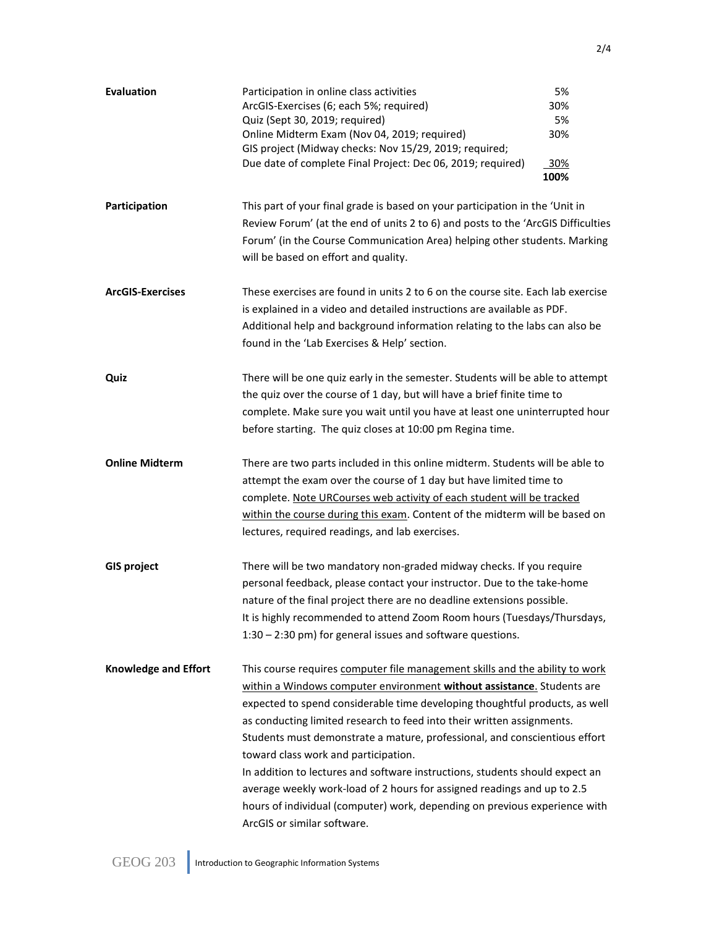| <b>Evaluation</b>           | Participation in online class activities<br>ArcGIS-Exercises (6; each 5%; required)<br>Quiz (Sept 30, 2019; required)<br>Online Midterm Exam (Nov 04, 2019; required)<br>GIS project (Midway checks: Nov 15/29, 2019; required;<br>Due date of complete Final Project: Dec 06, 2019; required)                                                                                                                                                                                                                                                                                                                                                                                                                | 5%<br>30%<br>5%<br>30%<br>30%<br>100% |
|-----------------------------|---------------------------------------------------------------------------------------------------------------------------------------------------------------------------------------------------------------------------------------------------------------------------------------------------------------------------------------------------------------------------------------------------------------------------------------------------------------------------------------------------------------------------------------------------------------------------------------------------------------------------------------------------------------------------------------------------------------|---------------------------------------|
| Participation               | This part of your final grade is based on your participation in the 'Unit in<br>Review Forum' (at the end of units 2 to 6) and posts to the 'ArcGIS Difficulties<br>Forum' (in the Course Communication Area) helping other students. Marking<br>will be based on effort and quality.                                                                                                                                                                                                                                                                                                                                                                                                                         |                                       |
| <b>ArcGIS-Exercises</b>     | These exercises are found in units 2 to 6 on the course site. Each lab exercise<br>is explained in a video and detailed instructions are available as PDF.<br>Additional help and background information relating to the labs can also be<br>found in the 'Lab Exercises & Help' section.                                                                                                                                                                                                                                                                                                                                                                                                                     |                                       |
| Quiz                        | There will be one quiz early in the semester. Students will be able to attempt<br>the quiz over the course of 1 day, but will have a brief finite time to<br>complete. Make sure you wait until you have at least one uninterrupted hour<br>before starting. The quiz closes at 10:00 pm Regina time.                                                                                                                                                                                                                                                                                                                                                                                                         |                                       |
| <b>Online Midterm</b>       | There are two parts included in this online midterm. Students will be able to<br>attempt the exam over the course of 1 day but have limited time to<br>complete. Note URCourses web activity of each student will be tracked<br>within the course during this exam. Content of the midterm will be based on<br>lectures, required readings, and lab exercises.                                                                                                                                                                                                                                                                                                                                                |                                       |
| <b>GIS project</b>          | There will be two mandatory non-graded midway checks. If you require<br>personal feedback, please contact your instructor. Due to the take-home<br>nature of the final project there are no deadline extensions possible.<br>It is highly recommended to attend Zoom Room hours (Tuesdays/Thursdays,<br>1:30 - 2:30 pm) for general issues and software questions.                                                                                                                                                                                                                                                                                                                                            |                                       |
| <b>Knowledge and Effort</b> | This course requires computer file management skills and the ability to work<br>within a Windows computer environment without assistance. Students are<br>expected to spend considerable time developing thoughtful products, as well<br>as conducting limited research to feed into their written assignments.<br>Students must demonstrate a mature, professional, and conscientious effort<br>toward class work and participation.<br>In addition to lectures and software instructions, students should expect an<br>average weekly work-load of 2 hours for assigned readings and up to 2.5<br>hours of individual (computer) work, depending on previous experience with<br>ArcGIS or similar software. |                                       |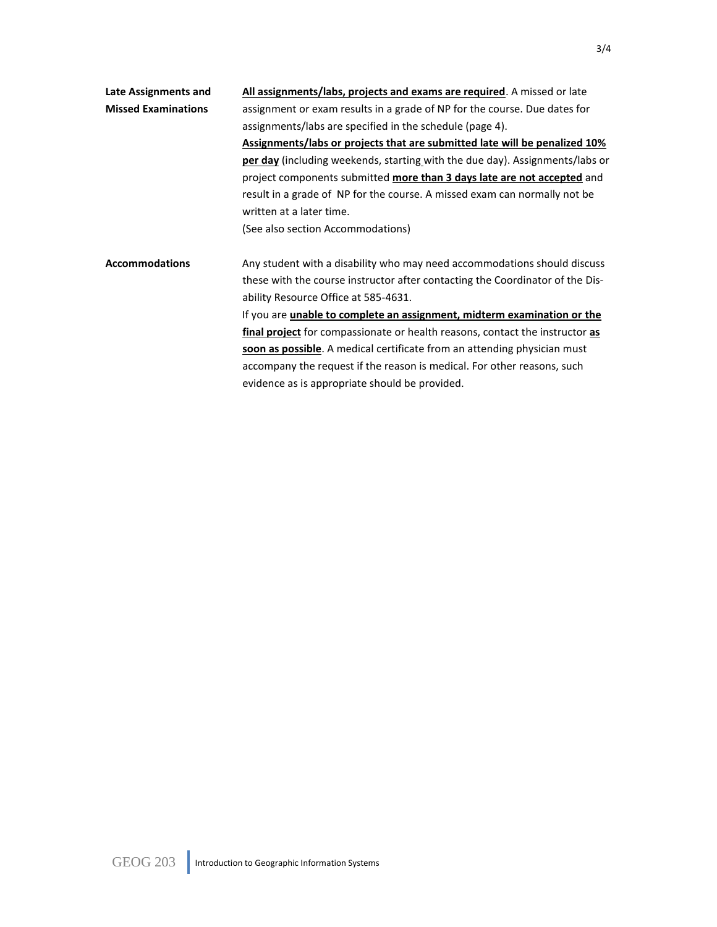| Late Assignments and       | All assignments/labs, projects and exams are required. A missed or late                                                                |  |  |
|----------------------------|----------------------------------------------------------------------------------------------------------------------------------------|--|--|
| <b>Missed Examinations</b> | assignment or exam results in a grade of NP for the course. Due dates for                                                              |  |  |
|                            | assignments/labs are specified in the schedule (page 4).<br>Assignments/labs or projects that are submitted late will be penalized 10% |  |  |
|                            |                                                                                                                                        |  |  |
|                            | <b>per day</b> (including weekends, starting with the due day). Assignments/labs or                                                    |  |  |
|                            | project components submitted more than 3 days late are not accepted and                                                                |  |  |
|                            | result in a grade of NP for the course. A missed exam can normally not be                                                              |  |  |
|                            | written at a later time.                                                                                                               |  |  |
|                            | (See also section Accommodations)                                                                                                      |  |  |
|                            |                                                                                                                                        |  |  |
| <b>Accommodations</b>      | Any student with a disability who may need accommodations should discuss                                                               |  |  |
|                            | these with the course instructor after contacting the Coordinator of the Dis-                                                          |  |  |
|                            | ability Resource Office at 585-4631.                                                                                                   |  |  |
|                            | If you are unable to complete an assignment, midterm examination or the                                                                |  |  |
|                            | final project for compassionate or health reasons, contact the instructor as                                                           |  |  |
|                            | soon as possible. A medical certificate from an attending physician must                                                               |  |  |
|                            | accompany the request if the reason is medical. For other reasons, such                                                                |  |  |
|                            | evidence as is appropriate should be provided.                                                                                         |  |  |